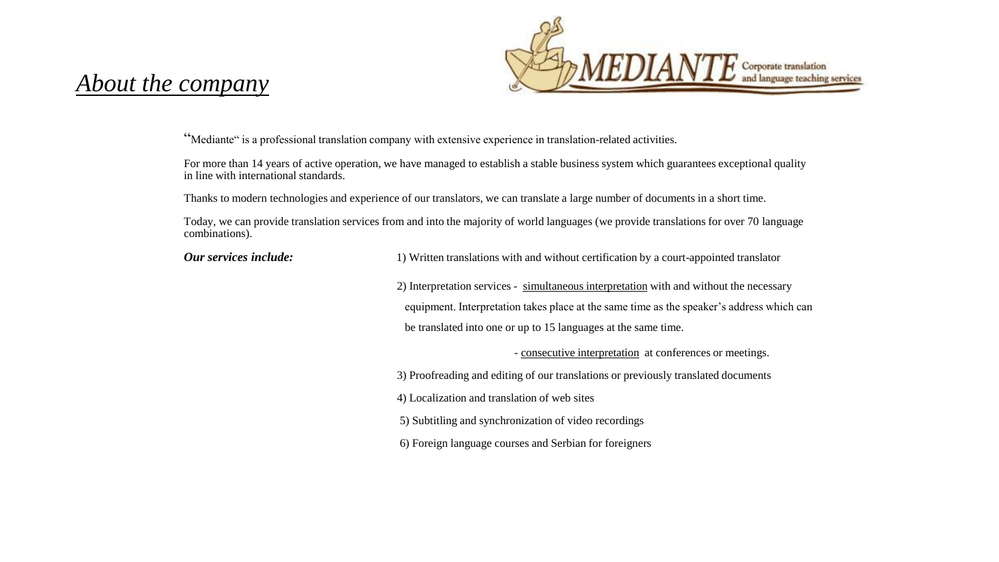

# *About the company*

"Mediante" is a professional translation company with extensive experience in translation-related activities.

For more than 14 years of active operation, we have managed to establish a stable business system which guarantees exceptional quality in line with international standards.

Thanks to modern technologies and experience of our translators, we can translate a large number of documents in a short time.

Today, we can provide translation services from and into the majority of world languages (we provide translations for over 70 language combinations).

| Our services include: | 1) Written translations with and without certification by a court-appointed translator    |
|-----------------------|-------------------------------------------------------------------------------------------|
|                       | 2) Interpretation services - simultaneous interpretation with and without the necessary   |
|                       | equipment. Interpretation takes place at the same time as the speaker's address which can |
|                       | be translated into one or up to 15 languages at the same time.                            |
|                       | - consecutive interpretation at conferences or meetings.                                  |
|                       | 3) Proofreading and editing of our translations or previously translated documents        |
|                       | 4) Localization and translation of web sites                                              |
|                       | 5) Subtitling and synchronization of video recordings                                     |
|                       | 6) Foreign language courses and Serbian for foreigners                                    |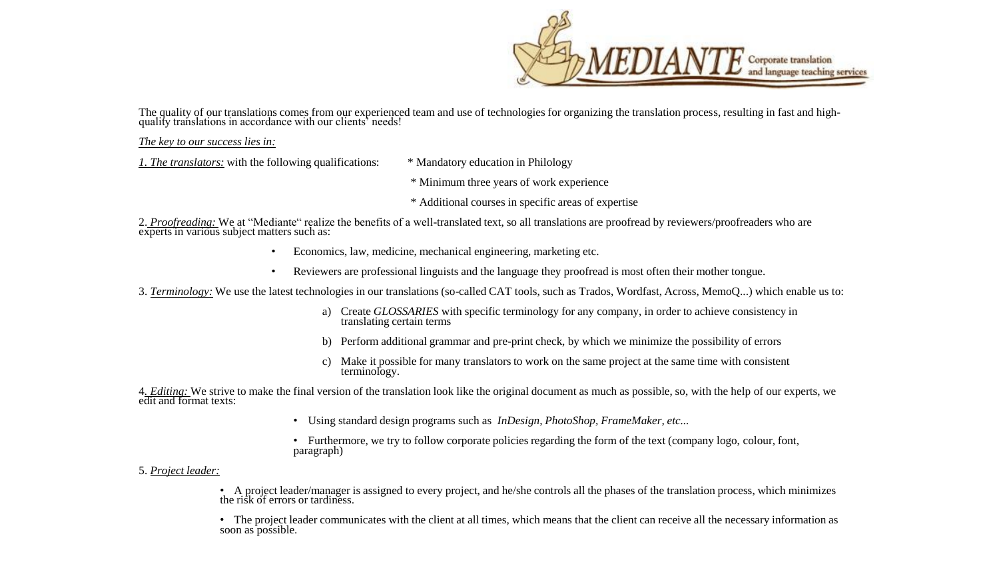

The quality of our translations comes from our experienced team and use of technologies for organizing the translation process, resulting in fast and highquality translations in accordance with our clients' needs!

*The key to our success lies in:* 

*1. The translators:* with the following qualifications: \* Mandatory education in Philology

\* Minimum three years of work experience

\* Additional courses in specific areas of expertise

2. *Proofreading:* We at "Mediante" realize the benefits of a well-translated text, so all translations are proofread by reviewers/proofreaders who are experts in various subject matters such as:

- Economics, law, medicine, mechanical engineering, marketing etc.
- Reviewers are professional linguists and the language they proofread is most often their mother tongue.

3. *Terminology:* We use the latest technologies in our translations (so-called CAT tools, such as Trados, Wordfast, Across, MemoQ...) which enable us to:

- a) Create *GLOSSARIES* with specific terminology for any company, in order to achieve consistency in translating certain terms
- b) Perform additional grammar and pre-print check, by which we minimize the possibility of errors
- c) Make it possible for many translators to work on the same project at the same time with consistent terminology.

4*. Editing:* We strive to make the final version of the translation look like the original document as much as possible, so, with the help of our experts, we edit and format texts:

• Using standard design programs such as *InDesign, PhotoShop, FrameMaker, etc...*

• Furthermore, we try to follow corporate policies regarding the form of the text (company logo, colour, font, paragraph)

### 5. *Project leader:*

• A project leader/manager is assigned to every project, and he/she controls all the phases of the translation process, which minimizes the risk of errors or tardiness.

• The project leader communicates with the client at all times, which means that the client can receive all the necessary information as soon as possible.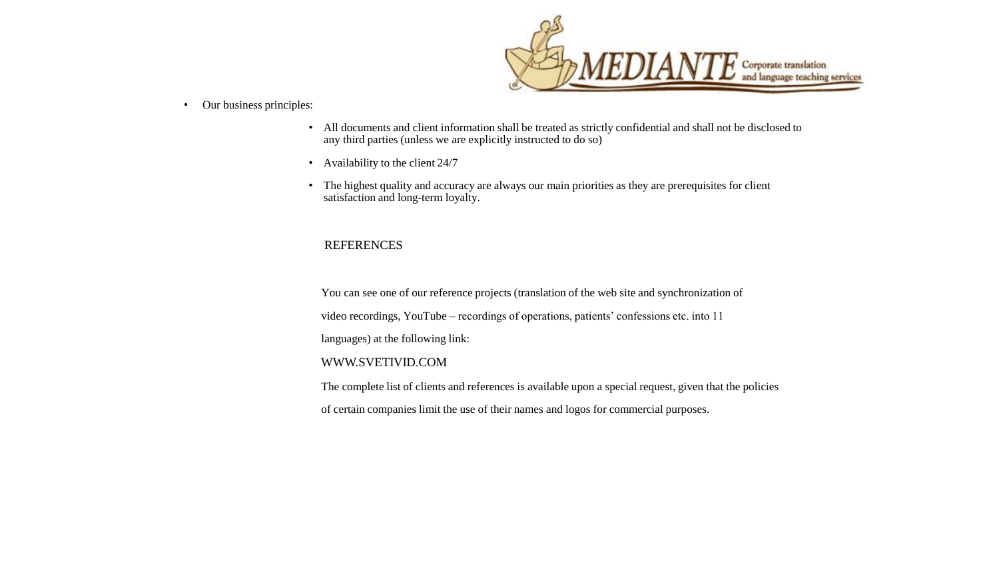

#### • Our business principles:

- All documents and client information shall be treated as strictly confidential and shall not be disclosed to any third parties (unless we are explicitly instructed to do so)
- Availability to the client 24/7
- The highest quality and accuracy are always our main priorities as they are prerequisites for client satisfaction and long-term loyalty.

## REFERENCES

You can see one of our reference projects (translation of the web site and synchronization of video recordings, YouTube – recordings of operations, patients' confessions etc. into 11 languages) at the following link: WWW.SVETIVID.COM

The complete list of clients and references is available upon a special request, given that the policies

of certain companies limit the use of their names and logos for commercial purposes.